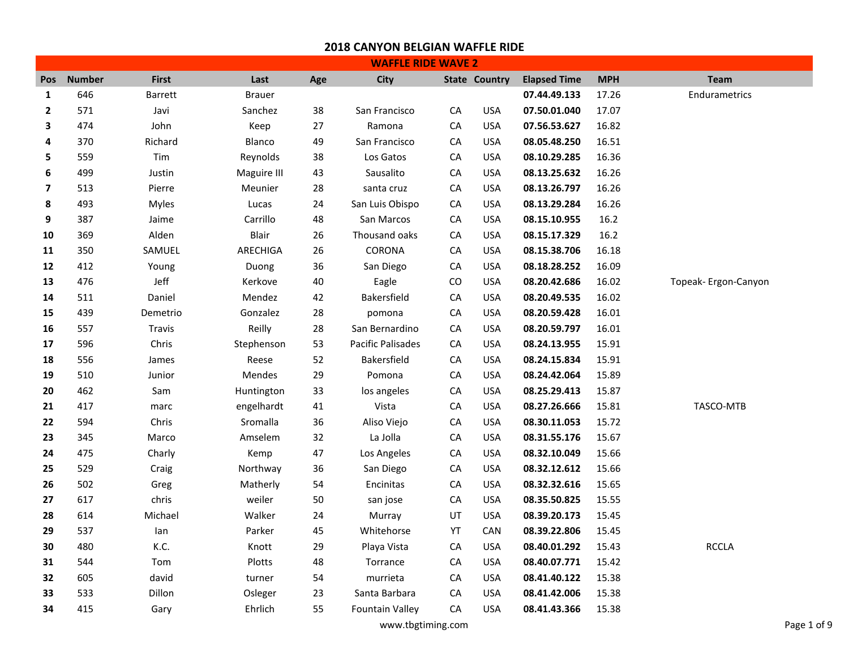|              |               |              |               |     | <b>WAFFLE RIDE WAVE 2</b> |            |                      |                     |            |                      |
|--------------|---------------|--------------|---------------|-----|---------------------------|------------|----------------------|---------------------|------------|----------------------|
| <b>Pos</b>   | <b>Number</b> | <b>First</b> | Last          | Age | City                      |            | <b>State Country</b> | <b>Elapsed Time</b> | <b>MPH</b> | <b>Team</b>          |
| $\mathbf{1}$ | 646           | Barrett      | <b>Brauer</b> |     |                           |            |                      | 07.44.49.133        | 17.26      | Endurametrics        |
| $\mathbf{2}$ | 571           | Javi         | Sanchez       | 38  | San Francisco             | CA         | <b>USA</b>           | 07.50.01.040        | 17.07      |                      |
| 3            | 474           | John         | Keep          | 27  | Ramona                    | CA         | <b>USA</b>           | 07.56.53.627        | 16.82      |                      |
| 4            | 370           | Richard      | Blanco        | 49  | San Francisco             | CA         | <b>USA</b>           | 08.05.48.250        | 16.51      |                      |
| 5            | 559           | Tim          | Reynolds      | 38  | Los Gatos                 | CA         | <b>USA</b>           | 08.10.29.285        | 16.36      |                      |
| 6            | 499           | Justin       | Maguire III   | 43  | Sausalito                 | CA         | <b>USA</b>           | 08.13.25.632        | 16.26      |                      |
| 7            | 513           | Pierre       | Meunier       | 28  | santa cruz                | CA         | <b>USA</b>           | 08.13.26.797        | 16.26      |                      |
| 8            | 493           | Myles        | Lucas         | 24  | San Luis Obispo           | ${\sf CA}$ | <b>USA</b>           | 08.13.29.284        | 16.26      |                      |
| 9            | 387           | Jaime        | Carrillo      | 48  | San Marcos                | CA         | <b>USA</b>           | 08.15.10.955        | 16.2       |                      |
| 10           | 369           | Alden        | Blair         | 26  | Thousand oaks             | CA         | <b>USA</b>           | 08.15.17.329        | 16.2       |                      |
| 11           | 350           | SAMUEL       | ARECHIGA      | 26  | CORONA                    | CA         | <b>USA</b>           | 08.15.38.706        | 16.18      |                      |
| 12           | 412           | Young        | Duong         | 36  | San Diego                 | CA         | <b>USA</b>           | 08.18.28.252        | 16.09      |                      |
| 13           | 476           | Jeff         | Kerkove       | 40  | Eagle                     | CO         | <b>USA</b>           | 08.20.42.686        | 16.02      | Topeak- Ergon-Canyon |
| 14           | 511           | Daniel       | Mendez        | 42  | Bakersfield               | CA         | <b>USA</b>           | 08.20.49.535        | 16.02      |                      |
| 15           | 439           | Demetrio     | Gonzalez      | 28  | pomona                    | CA         | <b>USA</b>           | 08.20.59.428        | 16.01      |                      |
| 16           | 557           | Travis       | Reilly        | 28  | San Bernardino            | CA         | <b>USA</b>           | 08.20.59.797        | 16.01      |                      |
| 17           | 596           | Chris        | Stephenson    | 53  | <b>Pacific Palisades</b>  | CA         | <b>USA</b>           | 08.24.13.955        | 15.91      |                      |
| 18           | 556           | James        | Reese         | 52  | Bakersfield               | ${\sf CA}$ | <b>USA</b>           | 08.24.15.834        | 15.91      |                      |
| 19           | 510           | Junior       | Mendes        | 29  | Pomona                    | CA         | <b>USA</b>           | 08.24.42.064        | 15.89      |                      |
| 20           | 462           | Sam          | Huntington    | 33  | los angeles               | CA         | <b>USA</b>           | 08.25.29.413        | 15.87      |                      |
| 21           | 417           | marc         | engelhardt    | 41  | Vista                     | ${\sf CA}$ | <b>USA</b>           | 08.27.26.666        | 15.81      | TASCO-MTB            |
| 22           | 594           | Chris        | Sromalla      | 36  | Aliso Viejo               | CA         | <b>USA</b>           | 08.30.11.053        | 15.72      |                      |
| 23           | 345           | Marco        | Amselem       | 32  | La Jolla                  | CA         | <b>USA</b>           | 08.31.55.176        | 15.67      |                      |
| 24           | 475           | Charly       | Kemp          | 47  | Los Angeles               | CA         | <b>USA</b>           | 08.32.10.049        | 15.66      |                      |
| 25           | 529           | Craig        | Northway      | 36  | San Diego                 | CA         | <b>USA</b>           | 08.32.12.612        | 15.66      |                      |
| 26           | 502           | Greg         | Matherly      | 54  | Encinitas                 | CA         | <b>USA</b>           | 08.32.32.616        | 15.65      |                      |
| 27           | 617           | chris        | weiler        | 50  | san jose                  | CA         | <b>USA</b>           | 08.35.50.825        | 15.55      |                      |
| 28           | 614           | Michael      | Walker        | 24  | Murray                    | UT         | <b>USA</b>           | 08.39.20.173        | 15.45      |                      |
| 29           | 537           | lan          | Parker        | 45  | Whitehorse                | YT         | CAN                  | 08.39.22.806        | 15.45      |                      |
| 30           | 480           | K.C.         | Knott         | 29  | Playa Vista               | CA         | <b>USA</b>           | 08.40.01.292        | 15.43      | <b>RCCLA</b>         |
| 31           | 544           | Tom          | Plotts        | 48  | Torrance                  | ${\sf CA}$ | <b>USA</b>           | 08.40.07.771        | 15.42      |                      |
| 32           | 605           | david        | turner        | 54  | murrieta                  | CA         | <b>USA</b>           | 08.41.40.122        | 15.38      |                      |
| 33           | 533           | Dillon       | Osleger       | 23  | Santa Barbara             | CA         | <b>USA</b>           | 08.41.42.006        | 15.38      |                      |
| 34           | 415           | Gary         | Ehrlich       | 55  | <b>Fountain Valley</b>    | CA         | <b>USA</b>           | 08.41.43.366        | 15.38      |                      |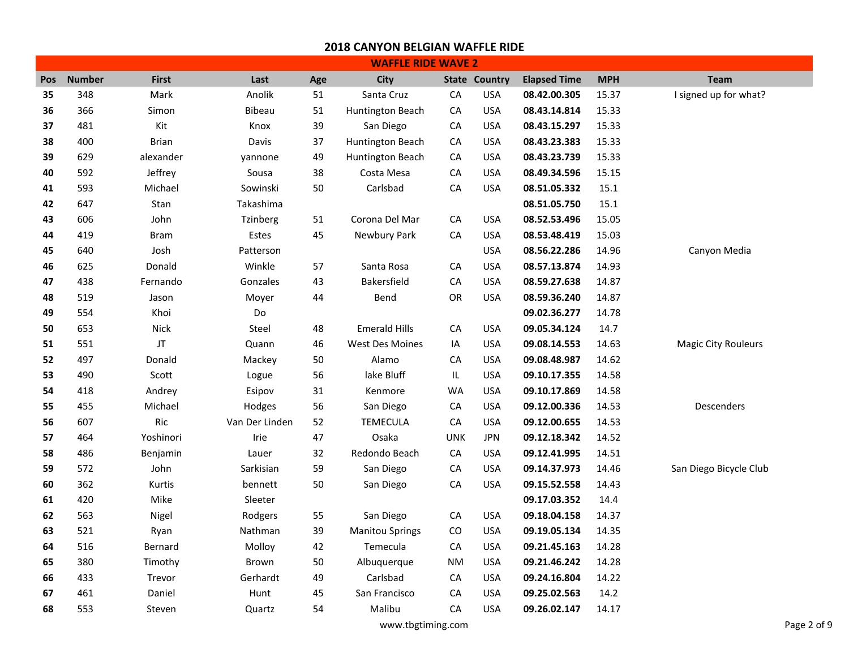|     |               |              |                |        | <b>WAFFLE RIDE WAVE 2</b> |            |                      |                     |            |                            |
|-----|---------------|--------------|----------------|--------|---------------------------|------------|----------------------|---------------------|------------|----------------------------|
| Pos | <b>Number</b> | <b>First</b> | Last           | Age    | City                      |            | <b>State Country</b> | <b>Elapsed Time</b> | <b>MPH</b> | <b>Team</b>                |
| 35  | 348           | Mark         | Anolik         | 51     | Santa Cruz                | CA         | <b>USA</b>           | 08.42.00.305        | 15.37      | I signed up for what?      |
| 36  | 366           | Simon        | <b>Bibeau</b>  | 51     | Huntington Beach          | CA         | <b>USA</b>           | 08.43.14.814        | 15.33      |                            |
| 37  | 481           | Kit          | Knox           | 39     | San Diego                 | CA         | <b>USA</b>           | 08.43.15.297        | 15.33      |                            |
| 38  | 400           | <b>Brian</b> | Davis          | 37     | Huntington Beach          | CA         | <b>USA</b>           | 08.43.23.383        | 15.33      |                            |
| 39  | 629           | alexander    | yannone        | 49     | Huntington Beach          | CA         | <b>USA</b>           | 08.43.23.739        | 15.33      |                            |
| 40  | 592           | Jeffrey      | Sousa          | 38     | Costa Mesa                | CA         | <b>USA</b>           | 08.49.34.596        | 15.15      |                            |
| 41  | 593           | Michael      | Sowinski       | 50     | Carlsbad                  | CA         | <b>USA</b>           | 08.51.05.332        | 15.1       |                            |
| 42  | 647           | Stan         | Takashima      |        |                           |            |                      | 08.51.05.750        | 15.1       |                            |
| 43  | 606           | John         | Tzinberg       | 51     | Corona Del Mar            | CA         | <b>USA</b>           | 08.52.53.496        | 15.05      |                            |
| 44  | 419           | <b>Bram</b>  | Estes          | 45     | Newbury Park              | CA         | <b>USA</b>           | 08.53.48.419        | 15.03      |                            |
| 45  | 640           | Josh         | Patterson      |        |                           |            | <b>USA</b>           | 08.56.22.286        | 14.96      | Canyon Media               |
| 46  | 625           | Donald       | Winkle         | 57     | Santa Rosa                | CA         | <b>USA</b>           | 08.57.13.874        | 14.93      |                            |
| 47  | 438           | Fernando     | Gonzales       | 43     | Bakersfield               | CA         | <b>USA</b>           | 08.59.27.638        | 14.87      |                            |
| 48  | 519           | Jason        | Moyer          | 44     | Bend                      | OR         | <b>USA</b>           | 08.59.36.240        | 14.87      |                            |
| 49  | 554           | Khoi         | Do             |        |                           |            |                      | 09.02.36.277        | 14.78      |                            |
| 50  | 653           | Nick         | Steel          | 48     | <b>Emerald Hills</b>      | CA         | <b>USA</b>           | 09.05.34.124        | 14.7       |                            |
| 51  | 551           | JT           | Quann          | 46     | <b>West Des Moines</b>    | IA         | <b>USA</b>           | 09.08.14.553        | 14.63      | <b>Magic City Rouleurs</b> |
| 52  | 497           | Donald       | Mackey         | 50     | Alamo                     | CA         | <b>USA</b>           | 09.08.48.987        | 14.62      |                            |
| 53  | 490           | Scott        | Logue          | 56     | lake Bluff                | IL.        | <b>USA</b>           | 09.10.17.355        | 14.58      |                            |
| 54  | 418           | Andrey       | Esipov         | $31\,$ | Kenmore                   | WA         | <b>USA</b>           | 09.10.17.869        | 14.58      |                            |
| 55  | 455           | Michael      | Hodges         | 56     | San Diego                 | CA         | <b>USA</b>           | 09.12.00.336        | 14.53      | <b>Descenders</b>          |
| 56  | 607           | Ric          | Van Der Linden | 52     | <b>TEMECULA</b>           | CA         | <b>USA</b>           | 09.12.00.655        | 14.53      |                            |
| 57  | 464           | Yoshinori    | Irie           | 47     | Osaka                     | <b>UNK</b> | <b>JPN</b>           | 09.12.18.342        | 14.52      |                            |
| 58  | 486           | Benjamin     | Lauer          | 32     | Redondo Beach             | CA         | <b>USA</b>           | 09.12.41.995        | 14.51      |                            |
| 59  | 572           | John         | Sarkisian      | 59     | San Diego                 | CA         | <b>USA</b>           | 09.14.37.973        | 14.46      | San Diego Bicycle Club     |
| 60  | 362           | Kurtis       | bennett        | 50     | San Diego                 | CA         | <b>USA</b>           | 09.15.52.558        | 14.43      |                            |
| 61  | 420           | Mike         | Sleeter        |        |                           |            |                      | 09.17.03.352        | 14.4       |                            |
| 62  | 563           | Nigel        | Rodgers        | 55     | San Diego                 | CA         | <b>USA</b>           | 09.18.04.158        | 14.37      |                            |
| 63  | 521           | Ryan         | Nathman        | 39     | <b>Manitou Springs</b>    | CO         | <b>USA</b>           | 09.19.05.134        | 14.35      |                            |
| 64  | 516           | Bernard      | Molloy         | 42     | Temecula                  | CA         | <b>USA</b>           | 09.21.45.163        | 14.28      |                            |
| 65  | 380           | Timothy      | Brown          | 50     | Albuquerque               | ΝM         | <b>USA</b>           | 09.21.46.242        | 14.28      |                            |
| 66  | 433           | Trevor       | Gerhardt       | 49     | Carlsbad                  | CA         | <b>USA</b>           | 09.24.16.804        | 14.22      |                            |
| 67  | 461           | Daniel       | Hunt           | 45     | San Francisco             | CA         | <b>USA</b>           | 09.25.02.563        | 14.2       |                            |
| 68  | 553           | Steven       | Quartz         | 54     | Malibu                    | CA         | <b>USA</b>           | 09.26.02.147        | 14.17      |                            |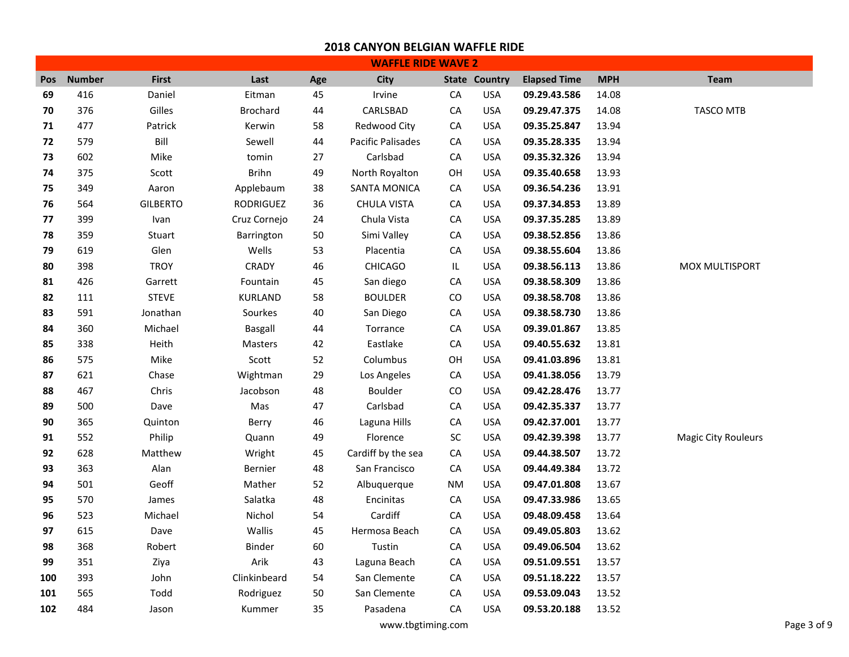|     |               |                 |                 |     | <b>WAFFLE RIDE WAVE 2</b> |            |                      |                     |            |                            |
|-----|---------------|-----------------|-----------------|-----|---------------------------|------------|----------------------|---------------------|------------|----------------------------|
| Pos | <b>Number</b> | <b>First</b>    | Last            | Age | City                      |            | <b>State Country</b> | <b>Elapsed Time</b> | <b>MPH</b> | <b>Team</b>                |
| 69  | 416           | Daniel          | Eitman          | 45  | Irvine                    | CA         | <b>USA</b>           | 09.29.43.586        | 14.08      |                            |
| 70  | 376           | Gilles          | <b>Brochard</b> | 44  | CARLSBAD                  | CA         | <b>USA</b>           | 09.29.47.375        | 14.08      | <b>TASCO MTB</b>           |
| 71  | 477           | Patrick         | Kerwin          | 58  | Redwood City              | CA         | <b>USA</b>           | 09.35.25.847        | 13.94      |                            |
| 72  | 579           | Bill            | Sewell          | 44  | <b>Pacific Palisades</b>  | CA         | <b>USA</b>           | 09.35.28.335        | 13.94      |                            |
| 73  | 602           | Mike            | tomin           | 27  | Carlsbad                  | CA         | <b>USA</b>           | 09.35.32.326        | 13.94      |                            |
| 74  | 375           | Scott           | <b>Brihn</b>    | 49  | North Royalton            | OH         | <b>USA</b>           | 09.35.40.658        | 13.93      |                            |
| 75  | 349           | Aaron           | Applebaum       | 38  | SANTA MONICA              | СA         | <b>USA</b>           | 09.36.54.236        | 13.91      |                            |
| 76  | 564           | <b>GILBERTO</b> | RODRIGUEZ       | 36  | <b>CHULA VISTA</b>        | ${\sf CA}$ | <b>USA</b>           | 09.37.34.853        | 13.89      |                            |
| 77  | 399           | Ivan            | Cruz Cornejo    | 24  | Chula Vista               | CA         | <b>USA</b>           | 09.37.35.285        | 13.89      |                            |
| 78  | 359           | Stuart          | Barrington      | 50  | Simi Valley               | ${\sf CA}$ | <b>USA</b>           | 09.38.52.856        | 13.86      |                            |
| 79  | 619           | Glen            | Wells           | 53  | Placentia                 | ${\sf CA}$ | <b>USA</b>           | 09.38.55.604        | 13.86      |                            |
| 80  | 398           | <b>TROY</b>     | CRADY           | 46  | <b>CHICAGO</b>            | IL         | <b>USA</b>           | 09.38.56.113        | 13.86      | MOX MULTISPORT             |
| 81  | 426           | Garrett         | Fountain        | 45  | San diego                 | CA         | <b>USA</b>           | 09.38.58.309        | 13.86      |                            |
| 82  | 111           | <b>STEVE</b>    | KURLAND         | 58  | <b>BOULDER</b>            | CO         | <b>USA</b>           | 09.38.58.708        | 13.86      |                            |
| 83  | 591           | Jonathan        | Sourkes         | 40  | San Diego                 | CA         | <b>USA</b>           | 09.38.58.730        | 13.86      |                            |
| 84  | 360           | Michael         | Basgall         | 44  | Torrance                  | CA         | <b>USA</b>           | 09.39.01.867        | 13.85      |                            |
| 85  | 338           | Heith           | Masters         | 42  | Eastlake                  | CA         | <b>USA</b>           | 09.40.55.632        | 13.81      |                            |
| 86  | 575           | Mike            | Scott           | 52  | Columbus                  | OН         | <b>USA</b>           | 09.41.03.896        | 13.81      |                            |
| 87  | 621           | Chase           | Wightman        | 29  | Los Angeles               | ${\sf CA}$ | <b>USA</b>           | 09.41.38.056        | 13.79      |                            |
| 88  | 467           | Chris           | Jacobson        | 48  | Boulder                   | CO         | <b>USA</b>           | 09.42.28.476        | 13.77      |                            |
| 89  | 500           | Dave            | Mas             | 47  | Carlsbad                  | CA         | <b>USA</b>           | 09.42.35.337        | 13.77      |                            |
| 90  | 365           | Quinton         | Berry           | 46  | Laguna Hills              | CA         | <b>USA</b>           | 09.42.37.001        | 13.77      |                            |
| 91  | 552           | Philip          | Quann           | 49  | Florence                  | ${\sf SC}$ | <b>USA</b>           | 09.42.39.398        | 13.77      | <b>Magic City Rouleurs</b> |
| 92  | 628           | Matthew         | Wright          | 45  | Cardiff by the sea        | CA         | USA                  | 09.44.38.507        | 13.72      |                            |
| 93  | 363           | Alan            | Bernier         | 48  | San Francisco             | CA         | <b>USA</b>           | 09.44.49.384        | 13.72      |                            |
| 94  | 501           | Geoff           | Mather          | 52  | Albuquerque               | ΝM         | <b>USA</b>           | 09.47.01.808        | 13.67      |                            |
| 95  | 570           | James           | Salatka         | 48  | Encinitas                 | ${\sf CA}$ | <b>USA</b>           | 09.47.33.986        | 13.65      |                            |
| 96  | 523           | Michael         | Nichol          | 54  | Cardiff                   | CA         | <b>USA</b>           | 09.48.09.458        | 13.64      |                            |
| 97  | 615           | Dave            | Wallis          | 45  | Hermosa Beach             | CA         | <b>USA</b>           | 09.49.05.803        | 13.62      |                            |
| 98  | 368           | Robert          | Binder          | 60  | Tustin                    | CA         | <b>USA</b>           | 09.49.06.504        | 13.62      |                            |
| 99  | 351           | Ziya            | Arik            | 43  | Laguna Beach              | CA         | <b>USA</b>           | 09.51.09.551        | 13.57      |                            |
| 100 | 393           | John            | Clinkinbeard    | 54  | San Clemente              | CA         | <b>USA</b>           | 09.51.18.222        | 13.57      |                            |
| 101 | 565           | Todd            | Rodriguez       | 50  | San Clemente              | CA         | <b>USA</b>           | 09.53.09.043        | 13.52      |                            |
| 102 | 484           | Jason           | Kummer          | 35  | Pasadena                  | CA         | <b>USA</b>           | 09.53.20.188        | 13.52      |                            |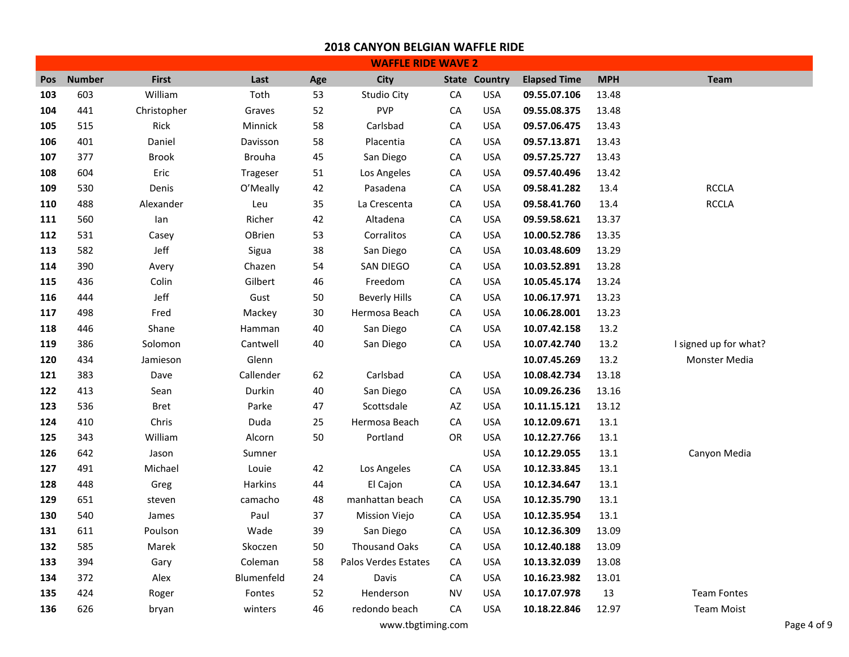|            | <b>WAFFLE RIDE WAVE 2</b> |              |                |     |                      |            |                      |                     |            |                       |  |  |
|------------|---------------------------|--------------|----------------|-----|----------------------|------------|----------------------|---------------------|------------|-----------------------|--|--|
| <b>Pos</b> | <b>Number</b>             | <b>First</b> | Last           | Age | City                 |            | <b>State Country</b> | <b>Elapsed Time</b> | <b>MPH</b> | <b>Team</b>           |  |  |
| 103        | 603                       | William      | Toth           | 53  | Studio City          | ${\sf CA}$ | <b>USA</b>           | 09.55.07.106        | 13.48      |                       |  |  |
| 104        | 441                       | Christopher  | Graves         | 52  | <b>PVP</b>           | ${\sf CA}$ | <b>USA</b>           | 09.55.08.375        | 13.48      |                       |  |  |
| 105        | 515                       | Rick         | Minnick        | 58  | Carlsbad             | CA         | <b>USA</b>           | 09.57.06.475        | 13.43      |                       |  |  |
| 106        | 401                       | Daniel       | Davisson       | 58  | Placentia            | ${\sf CA}$ | <b>USA</b>           | 09.57.13.871        | 13.43      |                       |  |  |
| 107        | 377                       | <b>Brook</b> | <b>Brouha</b>  | 45  | San Diego            | ${\sf CA}$ | <b>USA</b>           | 09.57.25.727        | 13.43      |                       |  |  |
| 108        | 604                       | Eric         | Trageser       | 51  | Los Angeles          | CA         | <b>USA</b>           | 09.57.40.496        | 13.42      |                       |  |  |
| 109        | 530                       | Denis        | O'Meally       | 42  | Pasadena             | ${\sf CA}$ | <b>USA</b>           | 09.58.41.282        | 13.4       | <b>RCCLA</b>          |  |  |
| 110        | 488                       | Alexander    | Leu            | 35  | La Crescenta         | CA         | <b>USA</b>           | 09.58.41.760        | 13.4       | <b>RCCLA</b>          |  |  |
| 111        | 560                       | lan          | Richer         | 42  | Altadena             | ${\sf CA}$ | <b>USA</b>           | 09.59.58.621        | 13.37      |                       |  |  |
| 112        | 531                       | Casey        | OBrien         | 53  | Corralitos           | ${\sf CA}$ | <b>USA</b>           | 10.00.52.786        | 13.35      |                       |  |  |
| 113        | 582                       | Jeff         | Sigua          | 38  | San Diego            | СA         | <b>USA</b>           | 10.03.48.609        | 13.29      |                       |  |  |
| 114        | 390                       | Avery        | Chazen         | 54  | SAN DIEGO            | ${\sf CA}$ | <b>USA</b>           | 10.03.52.891        | 13.28      |                       |  |  |
| 115        | 436                       | Colin        | Gilbert        | 46  | Freedom              | ${\sf CA}$ | <b>USA</b>           | 10.05.45.174        | 13.24      |                       |  |  |
| 116        | 444                       | Jeff         | Gust           | 50  | <b>Beverly Hills</b> | ${\sf CA}$ | <b>USA</b>           | 10.06.17.971        | 13.23      |                       |  |  |
| 117        | 498                       | Fred         | Mackey         | 30  | Hermosa Beach        | ${\sf CA}$ | <b>USA</b>           | 10.06.28.001        | 13.23      |                       |  |  |
| 118        | 446                       | Shane        | Hamman         | 40  | San Diego            | ${\sf CA}$ | <b>USA</b>           | 10.07.42.158        | 13.2       |                       |  |  |
| 119        | 386                       | Solomon      | Cantwell       | 40  | San Diego            | ${\sf CA}$ | <b>USA</b>           | 10.07.42.740        | 13.2       | I signed up for what? |  |  |
| 120        | 434                       | Jamieson     | Glenn          |     |                      |            |                      | 10.07.45.269        | 13.2       | Monster Media         |  |  |
| 121        | 383                       | Dave         | Callender      | 62  | Carlsbad             | ${\sf CA}$ | <b>USA</b>           | 10.08.42.734        | 13.18      |                       |  |  |
| 122        | 413                       | Sean         | Durkin         | 40  | San Diego            | CA         | <b>USA</b>           | 10.09.26.236        | 13.16      |                       |  |  |
| 123        | 536                       | <b>Bret</b>  | Parke          | 47  | Scottsdale           | AZ         | <b>USA</b>           | 10.11.15.121        | 13.12      |                       |  |  |
| 124        | 410                       | Chris        | Duda           | 25  | Hermosa Beach        | ${\sf CA}$ | <b>USA</b>           | 10.12.09.671        | 13.1       |                       |  |  |
| 125        | 343                       | William      | Alcorn         | 50  | Portland             | OR         | <b>USA</b>           | 10.12.27.766        | 13.1       |                       |  |  |
| 126        | 642                       | Jason        | Sumner         |     |                      |            | <b>USA</b>           | 10.12.29.055        | 13.1       | Canyon Media          |  |  |
| 127        | 491                       | Michael      | Louie          | 42  | Los Angeles          | ${\sf CA}$ | <b>USA</b>           | 10.12.33.845        | 13.1       |                       |  |  |
| 128        | 448                       | Greg         | <b>Harkins</b> | 44  | El Cajon             | ${\sf CA}$ | <b>USA</b>           | 10.12.34.647        | 13.1       |                       |  |  |
| 129        | 651                       | steven       | camacho        | 48  | manhattan beach      | СA         | <b>USA</b>           | 10.12.35.790        | 13.1       |                       |  |  |
| 130        | 540                       | James        | Paul           | 37  | Mission Viejo        | CA         | <b>USA</b>           | 10.12.35.954        | 13.1       |                       |  |  |
| 131        | 611                       | Poulson      | Wade           | 39  | San Diego            | СA         | <b>USA</b>           | 10.12.36.309        | 13.09      |                       |  |  |
| 132        | 585                       | Marek        | Skoczen        | 50  | <b>Thousand Oaks</b> | CA         | <b>USA</b>           | 10.12.40.188        | 13.09      |                       |  |  |
| 133        | 394                       | Gary         | Coleman        | 58  | Palos Verdes Estates | CA         | <b>USA</b>           | 10.13.32.039        | 13.08      |                       |  |  |
| 134        | 372                       | Alex         | Blumenfeld     | 24  | Davis                | СA         | <b>USA</b>           | 10.16.23.982        | 13.01      |                       |  |  |
| 135        | 424                       | Roger        | Fontes         | 52  | Henderson            | <b>NV</b>  | <b>USA</b>           | 10.17.07.978        | 13         | <b>Team Fontes</b>    |  |  |
| 136        | 626                       | bryan        | winters        | 46  | redondo beach        | CA         | <b>USA</b>           | 10.18.22.846        | 12.97      | <b>Team Moist</b>     |  |  |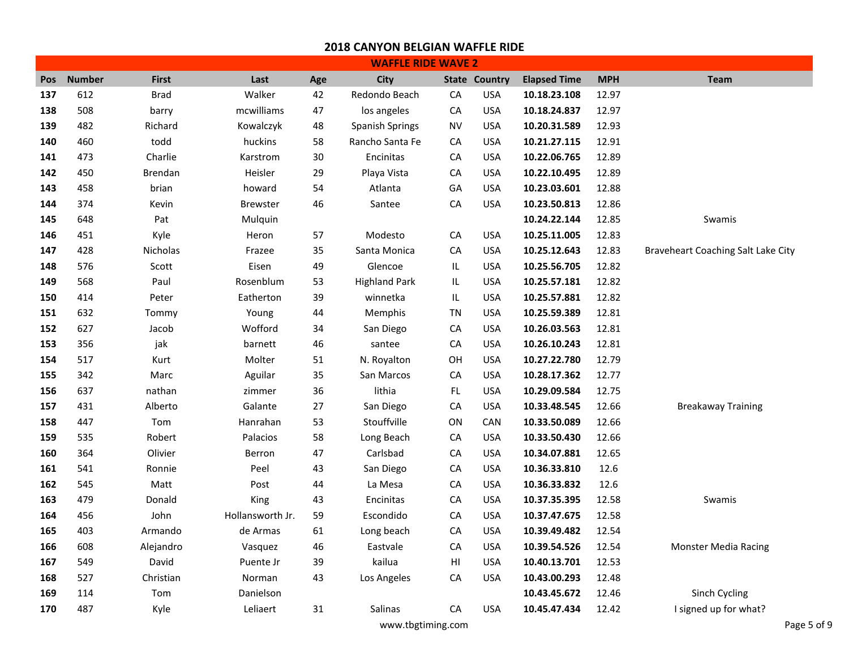|            |               |                |                  |     | <b>WAFFLE RIDE WAVE 2</b> |                                   |                      |                     |            |                                    |
|------------|---------------|----------------|------------------|-----|---------------------------|-----------------------------------|----------------------|---------------------|------------|------------------------------------|
| <b>Pos</b> | <b>Number</b> | <b>First</b>   | Last             | Age | City                      |                                   | <b>State Country</b> | <b>Elapsed Time</b> | <b>MPH</b> | <b>Team</b>                        |
| 137        | 612           | <b>Brad</b>    | Walker           | 42  | Redondo Beach             | CA                                | <b>USA</b>           | 10.18.23.108        | 12.97      |                                    |
| 138        | 508           | barry          | mcwilliams       | 47  | los angeles               | ${\sf CA}$                        | <b>USA</b>           | 10.18.24.837        | 12.97      |                                    |
| 139        | 482           | Richard        | Kowalczyk        | 48  | <b>Spanish Springs</b>    | NV                                | <b>USA</b>           | 10.20.31.589        | 12.93      |                                    |
| 140        | 460           | todd           | huckins          | 58  | Rancho Santa Fe           | СA                                | <b>USA</b>           | 10.21.27.115        | 12.91      |                                    |
| 141        | 473           | Charlie        | Karstrom         | 30  | Encinitas                 | СA                                | <b>USA</b>           | 10.22.06.765        | 12.89      |                                    |
| 142        | 450           | <b>Brendan</b> | Heisler          | 29  | Playa Vista               | ${\sf CA}$                        | <b>USA</b>           | 10.22.10.495        | 12.89      |                                    |
| 143        | 458           | brian          | howard           | 54  | Atlanta                   | GA                                | <b>USA</b>           | 10.23.03.601        | 12.88      |                                    |
| 144        | 374           | Kevin          | <b>Brewster</b>  | 46  | Santee                    | CA                                | <b>USA</b>           | 10.23.50.813        | 12.86      |                                    |
| 145        | 648           | Pat            | Mulquin          |     |                           |                                   |                      | 10.24.22.144        | 12.85      | Swamis                             |
| 146        | 451           | Kyle           | Heron            | 57  | Modesto                   | CA                                | <b>USA</b>           | 10.25.11.005        | 12.83      |                                    |
| 147        | 428           | Nicholas       | Frazee           | 35  | Santa Monica              | ${\sf CA}$                        | <b>USA</b>           | 10.25.12.643        | 12.83      | Braveheart Coaching Salt Lake City |
| 148        | 576           | Scott          | Eisen            | 49  | Glencoe                   | $\ensuremath{\mathsf{IL}}\xspace$ | <b>USA</b>           | 10.25.56.705        | 12.82      |                                    |
| 149        | 568           | Paul           | Rosenblum        | 53  | <b>Highland Park</b>      | $\ensuremath{\mathsf{IL}}\xspace$ | <b>USA</b>           | 10.25.57.181        | 12.82      |                                    |
| 150        | 414           | Peter          | Eatherton        | 39  | winnetka                  | IL                                | <b>USA</b>           | 10.25.57.881        | 12.82      |                                    |
| 151        | 632           | Tommy          | Young            | 44  | Memphis                   | TN                                | <b>USA</b>           | 10.25.59.389        | 12.81      |                                    |
| 152        | 627           | Jacob          | Wofford          | 34  | San Diego                 | ${\sf CA}$                        | <b>USA</b>           | 10.26.03.563        | 12.81      |                                    |
| 153        | 356           | jak            | barnett          | 46  | santee                    | ${\sf CA}$                        | <b>USA</b>           | 10.26.10.243        | 12.81      |                                    |
| 154        | 517           | Kurt           | Molter           | 51  | N. Royalton               | OH                                | <b>USA</b>           | 10.27.22.780        | 12.79      |                                    |
| 155        | 342           | Marc           | Aguilar          | 35  | San Marcos                | ${\sf CA}$                        | <b>USA</b>           | 10.28.17.362        | 12.77      |                                    |
| 156        | 637           | nathan         | zimmer           | 36  | lithia                    | FL.                               | <b>USA</b>           | 10.29.09.584        | 12.75      |                                    |
| 157        | 431           | Alberto        | Galante          | 27  | San Diego                 | ${\sf CA}$                        | <b>USA</b>           | 10.33.48.545        | 12.66      | <b>Breakaway Training</b>          |
| 158        | 447           | Tom            | Hanrahan         | 53  | Stouffville               | ON                                | CAN                  | 10.33.50.089        | 12.66      |                                    |
| 159        | 535           | Robert         | Palacios         | 58  | Long Beach                | CA                                | <b>USA</b>           | 10.33.50.430        | 12.66      |                                    |
| 160        | 364           | Olivier        | Berron           | 47  | Carlsbad                  | ${\sf CA}$                        | <b>USA</b>           | 10.34.07.881        | 12.65      |                                    |
| 161        | 541           | Ronnie         | Peel             | 43  | San Diego                 | CA                                | <b>USA</b>           | 10.36.33.810        | 12.6       |                                    |
| 162        | 545           | Matt           | Post             | 44  | La Mesa                   | ${\sf CA}$                        | <b>USA</b>           | 10.36.33.832        | 12.6       |                                    |
| 163        | 479           | Donald         | King             | 43  | Encinitas                 | СA                                | <b>USA</b>           | 10.37.35.395        | 12.58      | Swamis                             |
| 164        | 456           | John           | Hollansworth Jr. | 59  | Escondido                 | ${\sf CA}$                        | <b>USA</b>           | 10.37.47.675        | 12.58      |                                    |
| 165        | 403           | Armando        | de Armas         | 61  | Long beach                | СA                                | <b>USA</b>           | 10.39.49.482        | 12.54      |                                    |
| 166        | 608           | Alejandro      | Vasquez          | 46  | Eastvale                  | CA                                | <b>USA</b>           | 10.39.54.526        | 12.54      | <b>Monster Media Racing</b>        |
| 167        | 549           | David          | Puente Jr        | 39  | kailua                    | H                                 | <b>USA</b>           | 10.40.13.701        | 12.53      |                                    |
| 168        | 527           | Christian      | Norman           | 43  | Los Angeles               | ${\sf CA}$                        | <b>USA</b>           | 10.43.00.293        | 12.48      |                                    |
| 169        | 114           | Tom            | Danielson        |     |                           |                                   |                      | 10.43.45.672        | 12.46      | Sinch Cycling                      |
| 170        | 487           | Kyle           | Leliaert         | 31  | Salinas                   | CA                                | <b>USA</b>           | 10.45.47.434        | 12.42      | I signed up for what?              |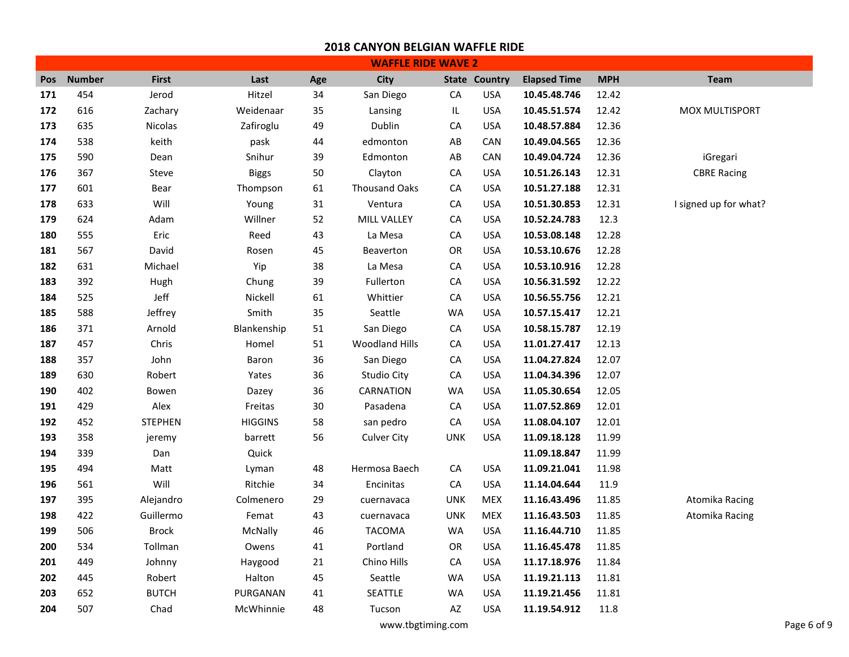|            | <b>WAFFLE RIDE WAVE 2</b> |              |                |     |                      |            |                      |                     |            |                       |  |  |
|------------|---------------------------|--------------|----------------|-----|----------------------|------------|----------------------|---------------------|------------|-----------------------|--|--|
| <b>Pos</b> | <b>Number</b>             | <b>First</b> | Last           | Age | <b>City</b>          |            | <b>State Country</b> | <b>Elapsed Time</b> | <b>MPH</b> | Team                  |  |  |
| 171        | 454                       | Jerod        | Hitzel         | 34  | San Diego            | CA         | <b>USA</b>           | 10.45.48.746        | 12.42      |                       |  |  |
| 172        | 616                       | Zachary      | Weidenaar      | 35  | Lansing              | IL         | <b>USA</b>           | 10.45.51.574        | 12.42      | MOX MULTISPORT        |  |  |
| 173        | 635                       | Nicolas      | Zafiroglu      | 49  | Dublin               | CA         | <b>USA</b>           | 10.48.57.884        | 12.36      |                       |  |  |
| 174        | 538                       | keith        | pask           | 44  | edmonton             | AB         | CAN                  | 10.49.04.565        | 12.36      |                       |  |  |
| 175        | 590                       | Dean         | Snihur         | 39  | Edmonton             | AB         | CAN                  | 10.49.04.724        | 12.36      | iGregari              |  |  |
| 176        | 367                       | Steve        | <b>Biggs</b>   | 50  | Clayton              | СA         | <b>USA</b>           | 10.51.26.143        | 12.31      | <b>CBRE Racing</b>    |  |  |
| 177        | 601                       | Bear         | Thompson       | 61  | <b>Thousand Oaks</b> | ${\sf CA}$ | <b>USA</b>           | 10.51.27.188        | 12.31      |                       |  |  |
| 178        | 633                       | Will         | Young          | 31  | Ventura              | СA         | <b>USA</b>           | 10.51.30.853        | 12.31      | I signed up for what? |  |  |
| 179        | 624                       | Adam         | Willner        | 52  | MILL VALLEY          | СA         | <b>USA</b>           | 10.52.24.783        | 12.3       |                       |  |  |
| 180        | 555                       | Eric         | Reed           | 43  | La Mesa              | CA         | <b>USA</b>           | 10.53.08.148        | 12.28      |                       |  |  |
| 181        | 567                       | David        | Rosen          | 45  | Beaverton            | OR         | <b>USA</b>           | 10.53.10.676        | 12.28      |                       |  |  |
| 182        | 631                       | Michael      | Yip            | 38  | La Mesa              | CA         | <b>USA</b>           | 10.53.10.916        | 12.28      |                       |  |  |
| 183        | 392                       | Hugh         | Chung          | 39  | Fullerton            | CA         | <b>USA</b>           | 10.56.31.592        | 12.22      |                       |  |  |
| 184        | 525                       | Jeff         | Nickell        | 61  | Whittier             | ${\sf CA}$ | <b>USA</b>           | 10.56.55.756        | 12.21      |                       |  |  |
| 185        | 588                       | Jeffrey      | Smith          | 35  | Seattle              | <b>WA</b>  | <b>USA</b>           | 10.57.15.417        | 12.21      |                       |  |  |
| 186        | 371                       | Arnold       | Blankenship    | 51  | San Diego            | CA         | <b>USA</b>           | 10.58.15.787        | 12.19      |                       |  |  |
| 187        | 457                       | Chris        | Homel          | 51  | Woodland Hills       | ${\sf CA}$ | <b>USA</b>           | 11.01.27.417        | 12.13      |                       |  |  |
| 188        | 357                       | John         | Baron          | 36  | San Diego            | СA         | <b>USA</b>           | 11.04.27.824        | 12.07      |                       |  |  |
| 189        | 630                       | Robert       | Yates          | 36  | <b>Studio City</b>   | ${\sf CA}$ | <b>USA</b>           | 11.04.34.396        | 12.07      |                       |  |  |
| 190        | 402                       | Bowen        | Dazey          | 36  | CARNATION            | WA         | <b>USA</b>           | 11.05.30.654        | 12.05      |                       |  |  |
| 191        | 429                       | Alex         | Freitas        | 30  | Pasadena             | CA         | <b>USA</b>           | 11.07.52.869        | 12.01      |                       |  |  |
| 192        | 452                       | STEPHEN      | <b>HIGGINS</b> | 58  | san pedro            | ${\sf CA}$ | <b>USA</b>           | 11.08.04.107        | 12.01      |                       |  |  |
| 193        | 358                       | jeremy       | barrett        | 56  | <b>Culver City</b>   | <b>UNK</b> | <b>USA</b>           | 11.09.18.128        | 11.99      |                       |  |  |
| 194        | 339                       | Dan          | Quick          |     |                      |            |                      | 11.09.18.847        | 11.99      |                       |  |  |
| 195        | 494                       | Matt         | Lyman          | 48  | Hermosa Baech        | CA         | <b>USA</b>           | 11.09.21.041        | 11.98      |                       |  |  |
| 196        | 561                       | Will         | Ritchie        | 34  | Encinitas            | СA         | <b>USA</b>           | 11.14.04.644        | 11.9       |                       |  |  |
| 197        | 395                       | Alejandro    | Colmenero      | 29  | cuernavaca           | <b>UNK</b> | MEX                  | 11.16.43.496        | 11.85      | Atomika Racing        |  |  |
| 198        | 422                       | Guillermo    | Femat          | 43  | cuernavaca           | <b>UNK</b> | <b>MEX</b>           | 11.16.43.503        | 11.85      | Atomika Racing        |  |  |
| 199        | 506                       | <b>Brock</b> | McNally        | 46  | <b>TACOMA</b>        | <b>WA</b>  | <b>USA</b>           | 11.16.44.710        | 11.85      |                       |  |  |
| 200        | 534                       | Tollman      | Owens          | 41  | Portland             | <b>OR</b>  | <b>USA</b>           | 11.16.45.478        | 11.85      |                       |  |  |
| 201        | 449                       | Johnny       | Haygood        | 21  | Chino Hills          | СA         | <b>USA</b>           | 11.17.18.976        | 11.84      |                       |  |  |
| 202        | 445                       | Robert       | Halton         | 45  | Seattle              | WA         | <b>USA</b>           | 11.19.21.113        | 11.81      |                       |  |  |
| 203        | 652                       | <b>BUTCH</b> | PURGANAN       | 41  | SEATTLE              | WA         | <b>USA</b>           | 11.19.21.456        | 11.81      |                       |  |  |
| 204        | 507                       | Chad         | McWhinnie      | 48  | Tucson               | AZ         | <b>USA</b>           | 11.19.54.912        | 11.8       |                       |  |  |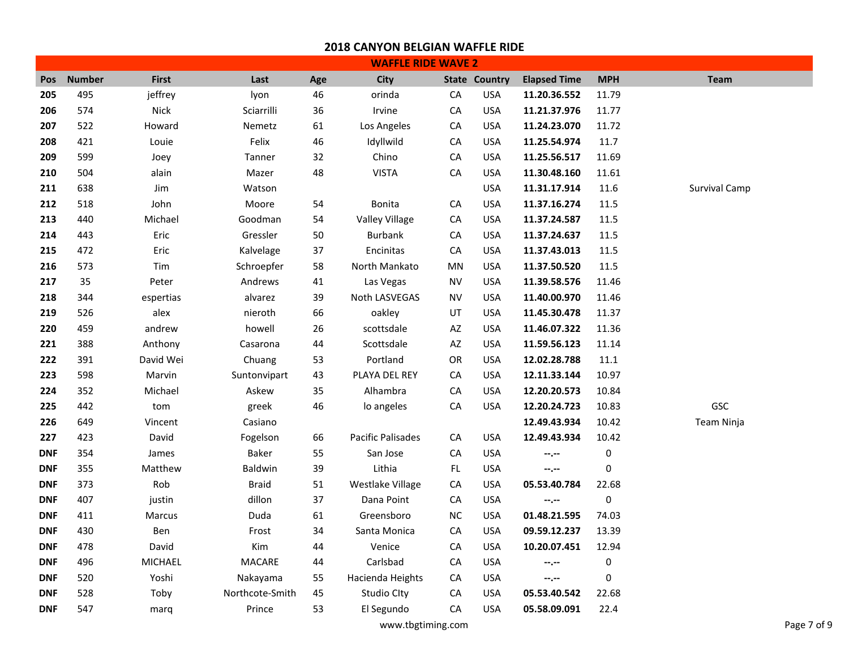|            |               |              |                 |     | <b>WAFFLE RIDE WAVE 2</b> |            |                      |                     |            |                      |
|------------|---------------|--------------|-----------------|-----|---------------------------|------------|----------------------|---------------------|------------|----------------------|
| Pos        | <b>Number</b> | <b>First</b> | Last            | Age | <b>City</b>               |            | <b>State Country</b> | <b>Elapsed Time</b> | <b>MPH</b> | <b>Team</b>          |
| 205        | 495           | jeffrey      | lyon            | 46  | orinda                    | ${\sf CA}$ | <b>USA</b>           | 11.20.36.552        | 11.79      |                      |
| 206        | 574           | Nick         | Sciarrilli      | 36  | Irvine                    | ${\sf CA}$ | <b>USA</b>           | 11.21.37.976        | 11.77      |                      |
| 207        | 522           | Howard       | Nemetz          | 61  | Los Angeles               | CA         | <b>USA</b>           | 11.24.23.070        | 11.72      |                      |
| 208        | 421           | Louie        | Felix           | 46  | Idyllwild                 | СA         | <b>USA</b>           | 11.25.54.974        | 11.7       |                      |
| 209        | 599           | Joey         | Tanner          | 32  | Chino                     | ${\sf CA}$ | <b>USA</b>           | 11.25.56.517        | 11.69      |                      |
| 210        | 504           | alain        | Mazer           | 48  | <b>VISTA</b>              | СA         | <b>USA</b>           | 11.30.48.160        | 11.61      |                      |
| 211        | 638           | Jim          | Watson          |     |                           |            | <b>USA</b>           | 11.31.17.914        | 11.6       | <b>Survival Camp</b> |
| 212        | 518           | John         | Moore           | 54  | <b>Bonita</b>             | CA         | <b>USA</b>           | 11.37.16.274        | 11.5       |                      |
| 213        | 440           | Michael      | Goodman         | 54  | Valley Village            | CA         | <b>USA</b>           | 11.37.24.587        | 11.5       |                      |
| 214        | 443           | Eric         | Gressler        | 50  | <b>Burbank</b>            | ${\sf CA}$ | <b>USA</b>           | 11.37.24.637        | 11.5       |                      |
| 215        | 472           | Eric         | Kalvelage       | 37  | Encinitas                 | СA         | <b>USA</b>           | 11.37.43.013        | 11.5       |                      |
| 216        | 573           | Tim          | Schroepfer      | 58  | North Mankato             | MN         | <b>USA</b>           | 11.37.50.520        | 11.5       |                      |
| 217        | 35            | Peter        | Andrews         | 41  | Las Vegas                 | ΝV         | <b>USA</b>           | 11.39.58.576        | 11.46      |                      |
| 218        | 344           | espertias    | alvarez         | 39  | Noth LASVEGAS             | <b>NV</b>  | <b>USA</b>           | 11.40.00.970        | 11.46      |                      |
| 219        | 526           | alex         | nieroth         | 66  | oakley                    | UT         | <b>USA</b>           | 11.45.30.478        | 11.37      |                      |
| 220        | 459           | andrew       | howell          | 26  | scottsdale                | AZ         | <b>USA</b>           | 11.46.07.322        | 11.36      |                      |
| 221        | 388           | Anthony      | Casarona        | 44  | Scottsdale                | AZ         | <b>USA</b>           | 11.59.56.123        | 11.14      |                      |
| 222        | 391           | David Wei    | Chuang          | 53  | Portland                  | OR         | <b>USA</b>           | 12.02.28.788        | 11.1       |                      |
| 223        | 598           | Marvin       | Suntonvipart    | 43  | PLAYA DEL REY             | CA         | <b>USA</b>           | 12.11.33.144        | 10.97      |                      |
| 224        | 352           | Michael      | Askew           | 35  | Alhambra                  | ${\sf CA}$ | <b>USA</b>           | 12.20.20.573        | 10.84      |                      |
| 225        | 442           | tom          | greek           | 46  | lo angeles                | ${\sf CA}$ | <b>USA</b>           | 12.20.24.723        | 10.83      | GSC                  |
| 226        | 649           | Vincent      | Casiano         |     |                           |            |                      | 12.49.43.934        | 10.42      | Team Ninja           |
| 227        | 423           | David        | Fogelson        | 66  | Pacific Palisades         | ${\sf CA}$ | <b>USA</b>           | 12.49.43.934        | 10.42      |                      |
| <b>DNF</b> | 354           | James        | <b>Baker</b>    | 55  | San Jose                  | CA         | <b>USA</b>           | --.--               | 0          |                      |
| <b>DNF</b> | 355           | Matthew      | <b>Baldwin</b>  | 39  | Lithia                    | FL.        | <b>USA</b>           | --.--               | 0          |                      |
| <b>DNF</b> | 373           | Rob          | <b>Braid</b>    | 51  | Westlake Village          | ${\sf CA}$ | <b>USA</b>           | 05.53.40.784        | 22.68      |                      |
| <b>DNF</b> | 407           | justin       | dillon          | 37  | Dana Point                | СA         | <b>USA</b>           | --.--               | 0          |                      |
| <b>DNF</b> | 411           | Marcus       | Duda            | 61  | Greensboro                | NC         | <b>USA</b>           | 01.48.21.595        | 74.03      |                      |
| <b>DNF</b> | 430           | Ben          | Frost           | 34  | Santa Monica              | СA         | <b>USA</b>           | 09.59.12.237        | 13.39      |                      |
| <b>DNF</b> | 478           | David        | Kim             | 44  | Venice                    | ${\sf CA}$ | <b>USA</b>           | 10.20.07.451        | 12.94      |                      |
| <b>DNF</b> | 496           | MICHAEL      | MACARE          | 44  | Carlsbad                  | СA         | <b>USA</b>           | --.--               | 0          |                      |
| <b>DNF</b> | 520           | Yoshi        | Nakayama        | 55  | Hacienda Heights          | СA         | <b>USA</b>           | --.--               | 0          |                      |
| <b>DNF</b> | 528           | Toby         | Northcote-Smith | 45  | <b>Studio Clty</b>        | CA         | <b>USA</b>           | 05.53.40.542        | 22.68      |                      |
| <b>DNF</b> | 547           | marg         | Prince          | 53  | El Segundo                | CA         | <b>USA</b>           | 05.58.09.091        | 22.4       |                      |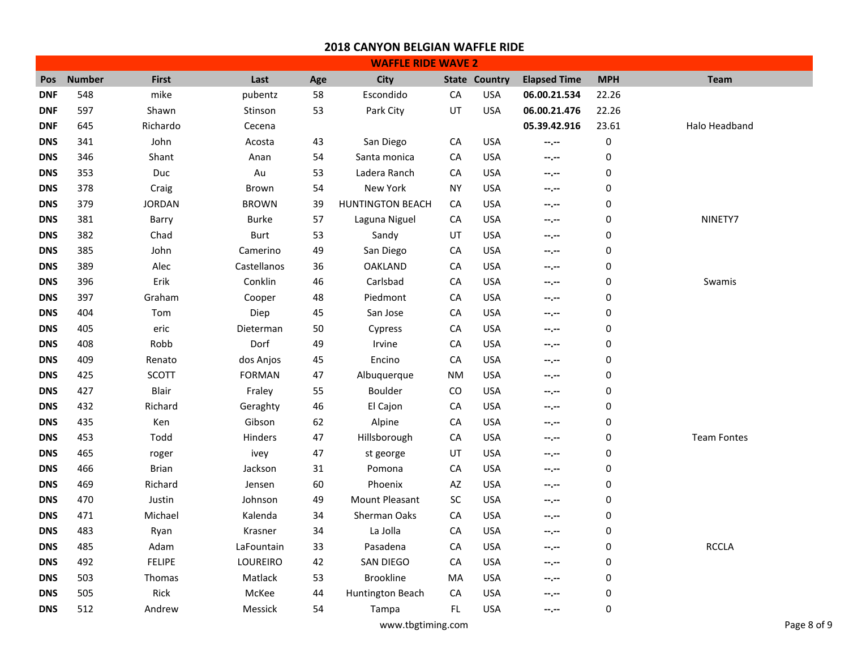|            |               |               |               |     | <b>WAFFLE RIDE WAVE 2</b> |            |                      |                     |            |                    |
|------------|---------------|---------------|---------------|-----|---------------------------|------------|----------------------|---------------------|------------|--------------------|
| Pos        | <b>Number</b> | <b>First</b>  | Last          | Age | City                      |            | <b>State Country</b> | <b>Elapsed Time</b> | <b>MPH</b> | Team               |
| <b>DNF</b> | 548           | mike          | pubentz       | 58  | Escondido                 | CA         | <b>USA</b>           | 06.00.21.534        | 22.26      |                    |
| <b>DNF</b> | 597           | Shawn         | Stinson       | 53  | Park City                 | UT         | <b>USA</b>           | 06.00.21.476        | 22.26      |                    |
| <b>DNF</b> | 645           | Richardo      | Cecena        |     |                           |            |                      | 05.39.42.916        | 23.61      | Halo Headband      |
| <b>DNS</b> | 341           | John          | Acosta        | 43  | San Diego                 | ${\sf CA}$ | <b>USA</b>           | --.--               | $\pmb{0}$  |                    |
| <b>DNS</b> | 346           | Shant         | Anan          | 54  | Santa monica              | CA         | <b>USA</b>           | --.--               | $\pmb{0}$  |                    |
| <b>DNS</b> | 353           | Duc           | Au            | 53  | Ladera Ranch              | СA         | <b>USA</b>           | --.--               | 0          |                    |
| <b>DNS</b> | 378           | Craig         | Brown         | 54  | New York                  | NY         | <b>USA</b>           | $-1 - 1 - 1 = 0$    | 0          |                    |
| <b>DNS</b> | 379           | <b>JORDAN</b> | <b>BROWN</b>  | 39  | <b>HUNTINGTON BEACH</b>   | СA         | <b>USA</b>           | --.--               | 0          |                    |
| <b>DNS</b> | 381           | Barry         | Burke         | 57  | Laguna Niguel             | ${\sf CA}$ | <b>USA</b>           | --.--               | 0          | NINETY7            |
| <b>DNS</b> | 382           | Chad          | <b>Burt</b>   | 53  | Sandy                     | UT         | <b>USA</b>           | --.--               | 0          |                    |
| <b>DNS</b> | 385           | John          | Camerino      | 49  | San Diego                 | ${\sf CA}$ | <b>USA</b>           | --.--               | 0          |                    |
| <b>DNS</b> | 389           | Alec          | Castellanos   | 36  | <b>OAKLAND</b>            | СA         | <b>USA</b>           | --.--               | 0          |                    |
| <b>DNS</b> | 396           | Erik          | Conklin       | 46  | Carlsbad                  | ${\sf CA}$ | <b>USA</b>           | --.--               | 0          | Swamis             |
| <b>DNS</b> | 397           | Graham        | Cooper        | 48  | Piedmont                  | СA         | <b>USA</b>           | --.--               | 0          |                    |
| <b>DNS</b> | 404           | Tom           | Diep          | 45  | San Jose                  | ${\sf CA}$ | <b>USA</b>           | $-1$ , $-1$         | 0          |                    |
| <b>DNS</b> | 405           | eric          | Dieterman     | 50  | Cypress                   | ${\sf CA}$ | <b>USA</b>           | --.--               | 0          |                    |
| <b>DNS</b> | 408           | Robb          | Dorf          | 49  | Irvine                    | ${\sf CA}$ | <b>USA</b>           | --.--               | $\pmb{0}$  |                    |
| <b>DNS</b> | 409           | Renato        | dos Anjos     | 45  | Encino                    | СA         | <b>USA</b>           | --.--               | 0          |                    |
| <b>DNS</b> | 425           | <b>SCOTT</b>  | <b>FORMAN</b> | 47  | Albuquerque               | NM         | <b>USA</b>           | --.--               | 0          |                    |
| <b>DNS</b> | 427           | Blair         | Fraley        | 55  | <b>Boulder</b>            | CO         | <b>USA</b>           | --.--               | 0          |                    |
| <b>DNS</b> | 432           | Richard       | Geraghty      | 46  | El Cajon                  | CA         | <b>USA</b>           | --.--               | 0          |                    |
| <b>DNS</b> | 435           | Ken           | Gibson        | 62  | Alpine                    | СA         | <b>USA</b>           | --.--               | 0          |                    |
| <b>DNS</b> | 453           | Todd          | Hinders       | 47  | Hillsborough              | ${\sf CA}$ | <b>USA</b>           | --.--               | $\pmb{0}$  | <b>Team Fontes</b> |
| <b>DNS</b> | 465           | roger         | ivey          | 47  | st george                 | UT         | <b>USA</b>           | --.--               | 0          |                    |
| <b>DNS</b> | 466           | <b>Brian</b>  | Jackson       | 31  | Pomona                    | ${\sf CA}$ | <b>USA</b>           | $-1$ , $-1$         | 0          |                    |
| <b>DNS</b> | 469           | Richard       | Jensen        | 60  | Phoenix                   | AZ         | <b>USA</b>           | --.--               | 0          |                    |
| <b>DNS</b> | 470           | Justin        | Johnson       | 49  | Mount Pleasant            | <b>SC</b>  | <b>USA</b>           | --.--               | 0          |                    |
| <b>DNS</b> | 471           | Michael       | Kalenda       | 34  | Sherman Oaks              | СA         | <b>USA</b>           | --.--               | 0          |                    |
| <b>DNS</b> | 483           | Ryan          | Krasner       | 34  | La Jolla                  | CA         | <b>USA</b>           | --.--               | 0          |                    |
| <b>DNS</b> | 485           | Adam          | LaFountain    | 33  | Pasadena                  | СA         | <b>USA</b>           | --.--               | 0          | <b>RCCLA</b>       |
| <b>DNS</b> | 492           | <b>FELIPE</b> | LOUREIRO      | 42  | SAN DIEGO                 | СA         | <b>USA</b>           | --.--               | 0          |                    |
| <b>DNS</b> | 503           | Thomas        | Matlack       | 53  | <b>Brookline</b>          | MA         | <b>USA</b>           | --.--               | 0          |                    |
| <b>DNS</b> | 505           | Rick          | McKee         | 44  | Huntington Beach          | CA         | <b>USA</b>           | --.--               | 0          |                    |
| <b>DNS</b> | 512           | Andrew        | Messick       | 54  | Tampa                     | FL         | <b>USA</b>           | --.--               | 0          |                    |